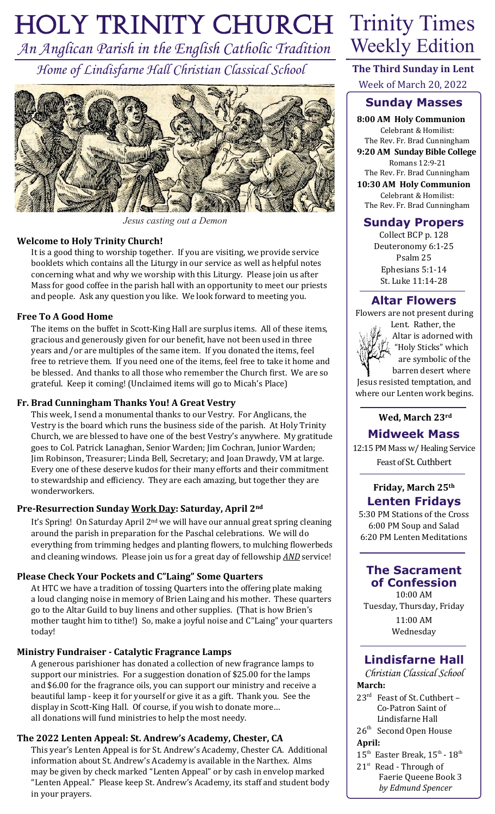# *Holy Trinity Church* Trinity Times

*An Anglican Parish in the English Catholic Tradition Home of Lindisfarne Hall Christian Classical School*



*Jesus casting out a Demon*

#### **Welcome to Holy Trinity Church!**

It is a good thing to worship together. If you are visiting, we provide service booklets which contains all the Liturgy in our service as well as helpful notes concerning what and why we worship with this Liturgy. Please join us after Mass for good coffee in the parish hall with an opportunity to meet our priests and people. Ask any question you like. We look forward to meeting you.

#### **Free To A Good Home**

The items on the buffet in Scott-King Hall are surplus items. All of these items, gracious and generously given for our benefit, have not been used in three years and/or are multiples of the same item. If you donated the items, feel free to retrieve them. If you need one of the items, feel free to take it home and be blessed. And thanks to all those who remember the Church first. We are so grateful. Keep it coming! (Unclaimed items will go to Micah's Place)

#### **Fr. Brad Cunningham Thanks You! A Great Vestry**

This week, I send a monumental thanks to our Vestry. For Anglicans, the Vestry is the board which runs the business side of the parish. At Holy Trinity Church, we are blessed to have one of the best Vestry's anywhere. My gratitude goes to Col. Patrick Lanaghan, Senior Warden; Jim Cochran, Junior Warden; Jim Robinson, Treasurer; Linda Bell, Secretary; and Joan Drawdy, VM at large. Every one of these deserve kudos for their many efforts and their commitment to stewardship and efficiency. They are each amazing, but together they are wonderworkers.

# **Pre-Resurrection Sunday Work Day: Saturday, April 2nd**

It's Spring! On Saturday April 2<sup>nd</sup> we will have our annual great spring cleaning around the parish in preparation for the Paschal celebrations. We will do everything from trimming hedges and planting flowers, to mulching flowerbeds and cleaning windows. Please join us for a great day of fellowship *AND* service!

#### **Please Check Your Pockets and C"Laing" Some Quarters**

At HTC we have a tradition of tossing Quarters into the offering plate making a loud clanging noise in memory of Brien Laing and his mother. These quarters go to the Altar Guild to buy linens and other supplies. (That is how Brien's mother taught him to tithe!) So, make a joyful noise and C"Laing" your quarters today!

#### **Ministry Fundraiser - Catalytic Fragrance Lamps**

A generous parishioner has donated a collection of new fragrance lamps to support our ministries. For a suggestion donation of \$25.00 for the lamps and \$6.00 for the fragrance oils, you can support our ministry and receive a beautiful lamp - keep it for yourself or give it as a gift. Thank you. See the display in Scott-King Hall. Of course, if you wish to donate more… all donations will fund ministries to help the most needy.

# **The 2022 Lenten Appeal: St. Andrew's Academy, Chester, CA**

This year's Lenten Appeal is for St. Andrew's Academy, Chester CA. Additional information about St. Andrew's Academy is available in the Narthex. Alms may be given by check marked "Lenten Appeal" or by cash in envelop marked "Lenten Appeal." Please keep St. Andrew's Academy, its staff and student body in your prayers.

# Weekly Edition

**The Third Sunday in Lent** Week of March 20, 2022

# **Sunday Masses**

**8:00 AM Holy Communion** Celebrant & Homilist: The Rev. Fr. Brad Cunningham **9:20 AM Sunday Bible College** Romans 12:9-21 The Rev. Fr. Brad Cunningham **10:30 AM Holy Communion** Celebrant & Homilist: The Rev. Fr. Brad Cunningham

# **Sunday Propers**

Collect BCP p. 128 Deuteronomy 6:1-25 Psalm 25 Ephesians 5:1-14 St. Luke 11:14-28

# **Altar Flowers**

Flowers are not present during



 Lent. Rather, the Altar is adorned with "Holy Sticks" which are symbolic of the barren desert where

 Jesus resisted temptation, and where our Lenten work begins.

#### **Wed, March 23rd**

# **Midweek Mass**

12:15 PM Mass w/ Healing Service Feast of St. Cuthbert

# **Friday, March 25th Lenten Fridays**

5:30 PM Stations of the Cross 6:00 PM Soup and Salad 6:20 PM Lenten Meditations

# **The Sacrament of Confession**

10:00 AM Tuesday, Thursday, Friday 11:00 AM Wednesday

# **Lindisfarne Hall**

*Christian Classical School* **March:**

- 23rd Feast of St. Cuthbert Co-Patron Saint of Lindisfarne Hall
- 26<sup>th</sup> Second Open House

# **April:**

- $15^{\text{th}}$  Easter Break,  $15^{\text{th}}$   $18^{\text{th}}$
- 21<sup>st</sup> Read Through of Faerie Queene Book 3 *by Edmund Spencer*